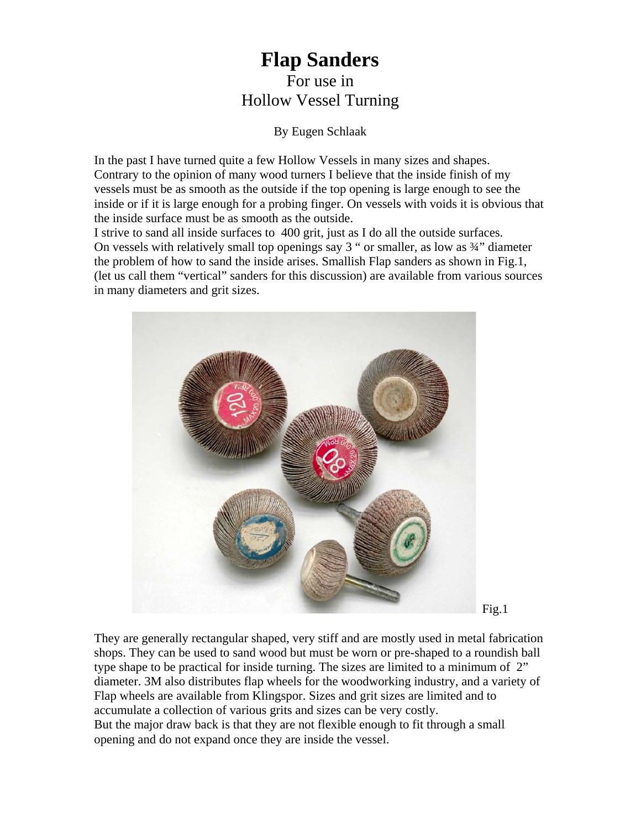## **Flap Sanders**  For use in Hollow Vessel Turning

By Eugen Schlaak

In the past I have turned quite a few Hollow Vessels in many sizes and shapes. Contrary to the opinion of many wood turners I believe that the inside finish of my vessels must be as smooth as the outside if the top opening is large enough to see the inside or if it is large enough for a probing finger. On vessels with voids it is obvious that the inside surface must be as smooth as the outside.

I strive to sand all inside surfaces to 400 grit, just as I do all the outside surfaces. On vessels with relatively small top openings say  $3$  " or smaller, as low as  $\frac{3}{4}$ " diameter the problem of how to sand the inside arises. Smallish Flap sanders as shown in Fig.1, (let us call them "vertical" sanders for this discussion) are available from various sources in many diameters and grit sizes.



Fig.1

They are generally rectangular shaped, very stiff and are mostly used in metal fabrication shops. They can be used to sand wood but must be worn or pre-shaped to a roundish ball type shape to be practical for inside turning. The sizes are limited to a minimum of 2" diameter. 3M also distributes flap wheels for the woodworking industry, and a variety of Flap wheels are available from Klingspor. Sizes and grit sizes are limited and to accumulate a collection of various grits and sizes can be very costly. But the major draw back is that they are not flexible enough to fit through a small opening and do not expand once they are inside the vessel.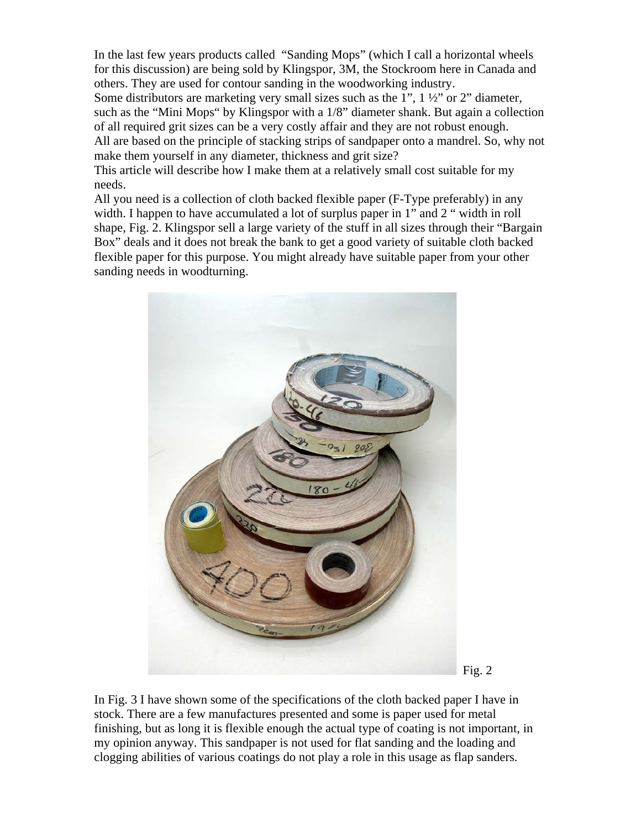In the last few years products called "Sanding Mops" (which I call a horizontal wheels for this discussion) are being sold by Klingspor, 3M, the Stockroom here in Canada and others. They are used for contour sanding in the woodworking industry.

Some distributors are marketing very small sizes such as the 1", 1 ½" or 2" diameter, such as the "Mini Mops" by Klingspor with a 1/8" diameter shank. But again a collection of all required grit sizes can be a very costly affair and they are not robust enough. All are based on the principle of stacking strips of sandpaper onto a mandrel. So, why not make them yourself in any diameter, thickness and grit size?

This article will describe how I make them at a relatively small cost suitable for my needs.

All you need is a collection of cloth backed flexible paper (F-Type preferably) in any width. I happen to have accumulated a lot of surplus paper in 1" and 2" width in roll shape, Fig. 2. Klingspor sell a large variety of the stuff in all sizes through their "Bargain Box" deals and it does not break the bank to get a good variety of suitable cloth backed flexible paper for this purpose. You might already have suitable paper from your other sanding needs in woodturning.





In Fig. 3 I have shown some of the specifications of the cloth backed paper I have in stock. There are a few manufactures presented and some is paper used for metal finishing, but as long it is flexible enough the actual type of coating is not important, in my opinion anyway. This sandpaper is not used for flat sanding and the loading and clogging abilities of various coatings do not play a role in this usage as flap sanders.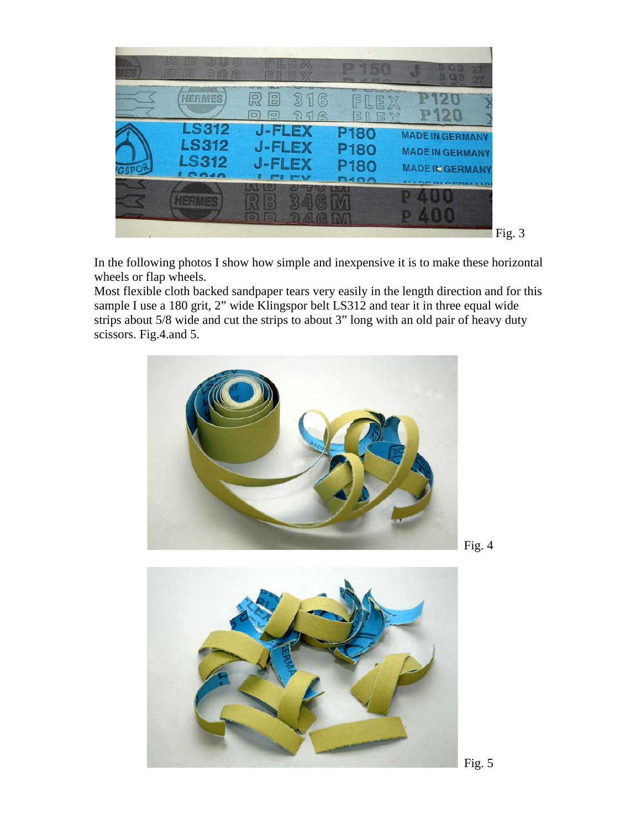

In the following photos I show how simple and inexpensive it is to make these horizontal wheels or flap wheels.

Most flexible cloth backed sandpaper tears very easily in the length direction and for this sample I use a 180 grit, 2" wide Klingspor belt LS312 and tear it in three equal wide strips about 5/8 wide and cut the strips to about 3" long with an old pair of heavy duty scissors. Fig.4.and 5.





Fig. 4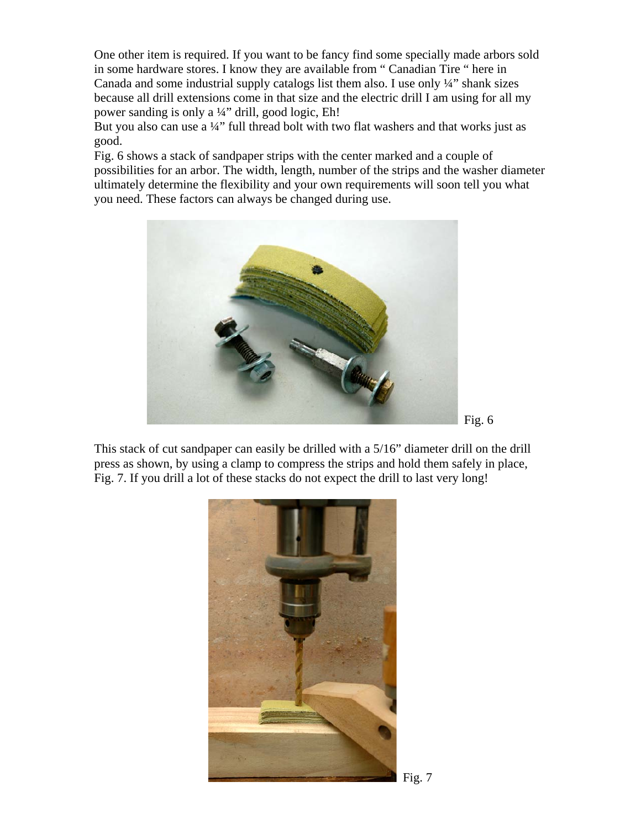One other item is required. If you want to be fancy find some specially made arbors sold in some hardware stores. I know they are available from " Canadian Tire " here in Canada and some industrial supply catalogs list them also. I use only ¼" shank sizes because all drill extensions come in that size and the electric drill I am using for all my power sanding is only a ¼" drill, good logic, Eh!

But you also can use a ¼" full thread bolt with two flat washers and that works just as good.

Fig. 6 shows a stack of sandpaper strips with the center marked and a couple of possibilities for an arbor. The width, length, number of the strips and the washer diameter ultimately determine the flexibility and your own requirements will soon tell you what you need. These factors can always be changed during use.



Fig. 6

This stack of cut sandpaper can easily be drilled with a 5/16" diameter drill on the drill press as shown, by using a clamp to compress the strips and hold them safely in place, Fig. 7. If you drill a lot of these stacks do not expect the drill to last very long!

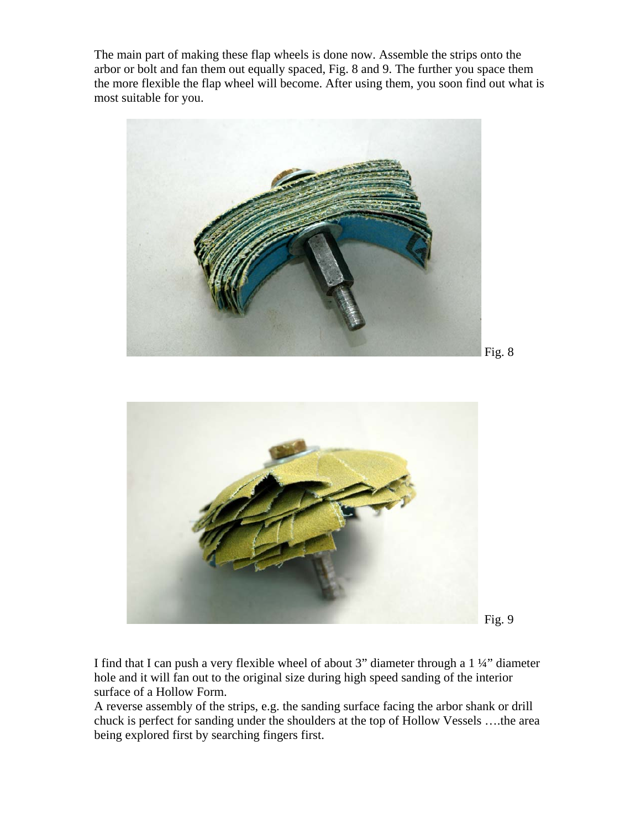The main part of making these flap wheels is done now. Assemble the strips onto the arbor or bolt and fan them out equally spaced, Fig. 8 and 9. The further you space them the more flexible the flap wheel will become. After using them, you soon find out what is most suitable for you.



I find that I can push a very flexible wheel of about 3" diameter through a 1 ¼" diameter hole and it will fan out to the original size during high speed sanding of the interior surface of a Hollow Form.

A reverse assembly of the strips, e.g. the sanding surface facing the arbor shank or drill chuck is perfect for sanding under the shoulders at the top of Hollow Vessels ….the area being explored first by searching fingers first.

Fig. 9